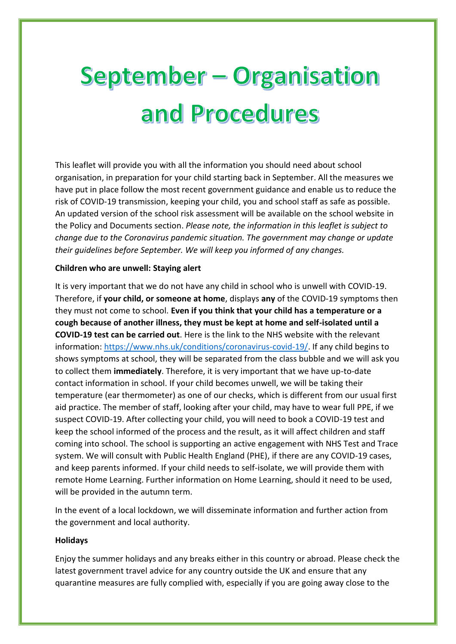# **September - Organisation** and Procedures

This leaflet will provide you with all the information you should need about school organisation, in preparation for your child starting back in September. All the measures we have put in place follow the most recent government guidance and enable us to reduce the risk of COVID-19 transmission, keeping your child, you and school staff as safe as possible. An updated version of the school risk assessment will be available on the school website in the Policy and Documents section. *Please note, the information in this leaflet is subject to change due to the Coronavirus pandemic situation. The government may change or update their guidelines before September. We will keep you informed of any changes.*

### **Children who are unwell: Staying alert**

It is very important that we do not have any child in school who is unwell with COVID-19. Therefore, if **your child, or someone at home**, displays **any** of the COVID-19 symptoms then they must not come to school. **Even if you think that your child has a temperature or a cough because of another illness, they must be kept at home and self-isolated until a COVID-19 test can be carried out**. Here is the link to the NHS website with the relevant information: [https://www.nhs.uk/conditions/coronavirus-covid-19/.](https://www.nhs.uk/conditions/coronavirus-covid-19/) If any child begins to shows symptoms at school, they will be separated from the class bubble and we will ask you to collect them **immediately**. Therefore, it is very important that we have up-to-date contact information in school. If your child becomes unwell, we will be taking their temperature (ear thermometer) as one of our checks, which is different from our usual first aid practice. The member of staff, looking after your child, may have to wear full PPE, if we suspect COVID-19. After collecting your child, you will need to book a COVID-19 test and keep the school informed of the process and the result, as it will affect children and staff coming into school. The school is supporting an active engagement with NHS Test and Trace system. We will consult with Public Health England (PHE), if there are any COVID-19 cases, and keep parents informed. If your child needs to self-isolate, we will provide them with remote Home Learning. Further information on Home Learning, should it need to be used, will be provided in the autumn term.

In the event of a local lockdown, we will disseminate information and further action from the government and local authority.

#### **Holidays**

Enjoy the summer holidays and any breaks either in this country or abroad. Please check the latest government travel advice for any country outside the UK and ensure that any quarantine measures are fully complied with, especially if you are going away close to the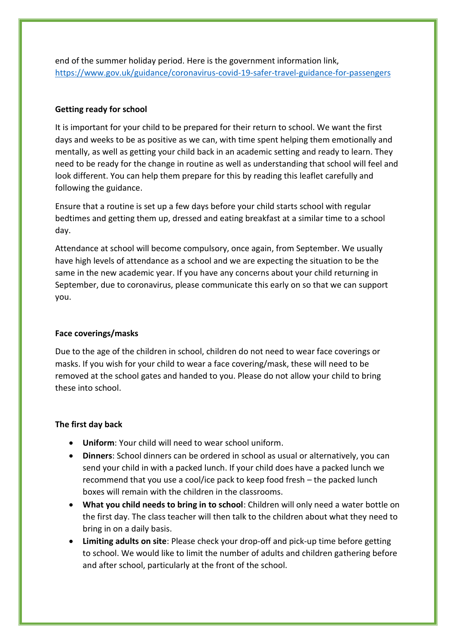end of the summer holiday period. Here is the government information link, <https://www.gov.uk/guidance/coronavirus-covid-19-safer-travel-guidance-for-passengers>

#### **Getting ready for school**

It is important for your child to be prepared for their return to school. We want the first days and weeks to be as positive as we can, with time spent helping them emotionally and mentally, as well as getting your child back in an academic setting and ready to learn. They need to be ready for the change in routine as well as understanding that school will feel and look different. You can help them prepare for this by reading this leaflet carefully and following the guidance.

Ensure that a routine is set up a few days before your child starts school with regular bedtimes and getting them up, dressed and eating breakfast at a similar time to a school day.

Attendance at school will become compulsory, once again, from September. We usually have high levels of attendance as a school and we are expecting the situation to be the same in the new academic year. If you have any concerns about your child returning in September, due to coronavirus, please communicate this early on so that we can support you.

#### **Face coverings/masks**

Due to the age of the children in school, children do not need to wear face coverings or masks. If you wish for your child to wear a face covering/mask, these will need to be removed at the school gates and handed to you. Please do not allow your child to bring these into school.

#### **The first day back**

- **Uniform**: Your child will need to wear school uniform.
- **Dinners**: School dinners can be ordered in school as usual or alternatively, you can send your child in with a packed lunch. If your child does have a packed lunch we recommend that you use a cool/ice pack to keep food fresh – the packed lunch boxes will remain with the children in the classrooms.
- **What you child needs to bring in to school**: Children will only need a water bottle on the first day. The class teacher will then talk to the children about what they need to bring in on a daily basis.
- **Limiting adults on site**: Please check your drop-off and pick-up time before getting to school. We would like to limit the number of adults and children gathering before and after school, particularly at the front of the school.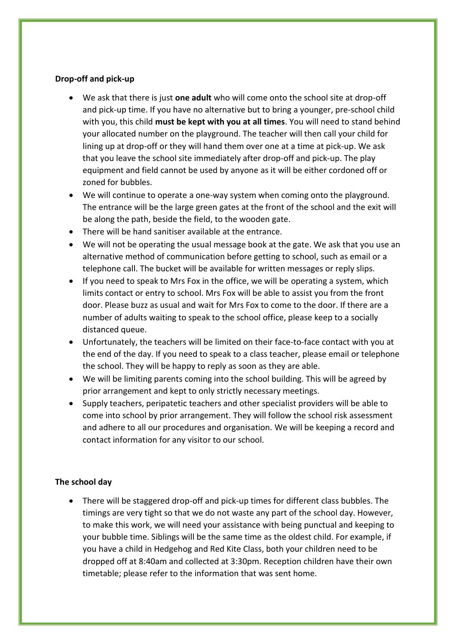#### **Drop-off and pick-up**

- We ask that there is just **one adult** who will come onto the school site at drop-off and pick-up time. If you have no alternative but to bring a younger, pre-school child with you, this child **must be kept with you at all times**. You will need to stand behind your allocated number on the playground. The teacher will then call your child for lining up at drop-off or they will hand them over one at a time at pick-up. We ask that you leave the school site immediately after drop-off and pick-up. The play equipment and field cannot be used by anyone as it will be either cordoned off or zoned for bubbles.
- We will continue to operate a one-way system when coming onto the playground. The entrance will be the large green gates at the front of the school and the exit will be along the path, beside the field, to the wooden gate.
- There will be hand sanitiser available at the entrance.
- We will not be operating the usual message book at the gate. We ask that you use an alternative method of communication before getting to school, such as email or a telephone call. The bucket will be available for written messages or reply slips.
- If you need to speak to Mrs Fox in the office, we will be operating a system, which limits contact or entry to school. Mrs Fox will be able to assist you from the front door. Please buzz as usual and wait for Mrs Fox to come to the door. If there are a number of adults waiting to speak to the school office, please keep to a socially distanced queue.
- Unfortunately, the teachers will be limited on their face-to-face contact with you at the end of the day. If you need to speak to a class teacher, please email or telephone the school. They will be happy to reply as soon as they are able.
- We will be limiting parents coming into the school building. This will be agreed by prior arrangement and kept to only strictly necessary meetings.
- Supply teachers, peripatetic teachers and other specialist providers will be able to come into school by prior arrangement. They will follow the school risk assessment and adhere to all our procedures and organisation. We will be keeping a record and contact information for any visitor to our school.

## **The school day**

 There will be staggered drop-off and pick-up times for different class bubbles. The timings are very tight so that we do not waste any part of the school day. However, to make this work, we will need your assistance with being punctual and keeping to your bubble time. Siblings will be the same time as the oldest child. For example, if you have a child in Hedgehog and Red Kite Class, both your children need to be dropped off at 8:40am and collected at 3:30pm. Reception children have their own timetable; please refer to the information that was sent home.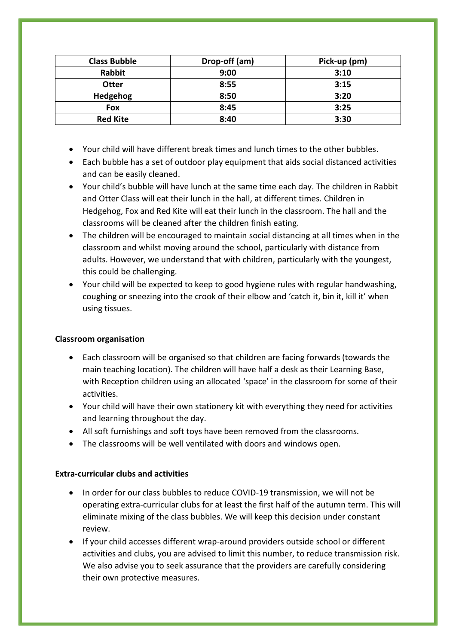| <b>Class Bubble</b> | Drop-off (am) | Pick-up (pm) |
|---------------------|---------------|--------------|
| Rabbit              | 9:00          | 3:10         |
| <b>Otter</b>        | 8:55          | 3:15         |
| Hedgehog            | 8:50          | 3:20         |
| Fox                 | 8:45          | 3:25         |
| <b>Red Kite</b>     | 8:40          | 3:30         |

- Your child will have different break times and lunch times to the other bubbles.
- Each bubble has a set of outdoor play equipment that aids social distanced activities and can be easily cleaned.
- Your child's bubble will have lunch at the same time each day. The children in Rabbit and Otter Class will eat their lunch in the hall, at different times. Children in Hedgehog, Fox and Red Kite will eat their lunch in the classroom. The hall and the classrooms will be cleaned after the children finish eating.
- The children will be encouraged to maintain social distancing at all times when in the classroom and whilst moving around the school, particularly with distance from adults. However, we understand that with children, particularly with the youngest, this could be challenging.
- Your child will be expected to keep to good hygiene rules with regular handwashing, coughing or sneezing into the crook of their elbow and 'catch it, bin it, kill it' when using tissues.

## **Classroom organisation**

- Each classroom will be organised so that children are facing forwards (towards the main teaching location). The children will have half a desk as their Learning Base, with Reception children using an allocated 'space' in the classroom for some of their activities.
- Your child will have their own stationery kit with everything they need for activities and learning throughout the day.
- All soft furnishings and soft toys have been removed from the classrooms.
- The classrooms will be well ventilated with doors and windows open.

## **Extra-curricular clubs and activities**

- In order for our class bubbles to reduce COVID-19 transmission, we will not be operating extra-curricular clubs for at least the first half of the autumn term. This will eliminate mixing of the class bubbles. We will keep this decision under constant review.
- If your child accesses different wrap-around providers outside school or different activities and clubs, you are advised to limit this number, to reduce transmission risk. We also advise you to seek assurance that the providers are carefully considering their own protective measures.